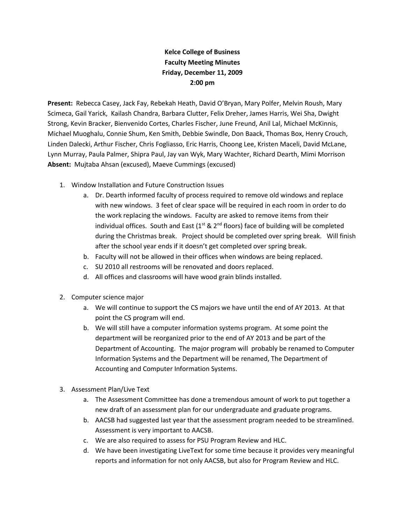## **Kelce College of Business Faculty Meeting Minutes Friday, December 11, 2009 2:00 pm**

**Present:** Rebecca Casey, Jack Fay, Rebekah Heath, David O'Bryan, Mary Polfer, Melvin Roush, Mary Scimeca, Gail Yarick, Kailash Chandra, Barbara Clutter, Felix Dreher, James Harris, Wei Sha, Dwight Strong, Kevin Bracker, Bienvenido Cortes, Charles Fischer, June Freund, Anil Lal, Michael McKinnis, Michael Muoghalu, Connie Shum, Ken Smith, Debbie Swindle, Don Baack, Thomas Box, Henry Crouch, Linden Dalecki, Arthur Fischer, Chris Fogliasso, Eric Harris, Choong Lee, Kristen Maceli, David McLane, Lynn Murray, Paula Palmer, Shipra Paul, Jay van Wyk, Mary Wachter, Richard Dearth, Mimi Morrison **Absent:** Mujtaba Ahsan (excused), Maeve Cummings (excused)

- 1. Window Installation and Future Construction Issues
	- a. Dr. Dearth informed faculty of process required to remove old windows and replace with new windows. 3 feet of clear space will be required in each room in order to do the work replacing the windows. Faculty are asked to remove items from their individual offices. South and East  $(1^{st} 8 2^{nd}$  floors) face of building will be completed during the Christmas break. Project should be completed over spring break. Will finish after the school year ends if it doesn't get completed over spring break.
	- b. Faculty will not be allowed in their offices when windows are being replaced.
	- c. SU 2010 all restrooms will be renovated and doors replaced.
	- d. All offices and classrooms will have wood grain blinds installed.
- 2. Computer science major
	- a. We will continue to support the CS majors we have until the end of AY 2013. At that point the CS program will end.
	- b. We will still have a computer information systems program. At some point the department will be reorganized prior to the end of AY 2013 and be part of the Department of Accounting. The major program will probably be renamed to Computer Information Systems and the Department will be renamed, The Department of Accounting and Computer Information Systems.
- 3. Assessment Plan/Live Text
	- a. The Assessment Committee has done a tremendous amount of work to put together a new draft of an assessment plan for our undergraduate and graduate programs.
	- b. AACSB had suggested last year that the assessment program needed to be streamlined. Assessment is very important to AACSB.
	- c. We are also required to assess for PSU Program Review and HLC.
	- d. We have been investigating LiveText for some time because it provides very meaningful reports and information for not only AACSB, but also for Program Review and HLC.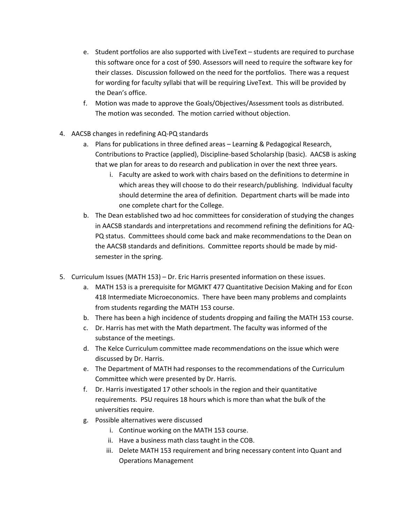- e. Student portfolios are also supported with LiveText students are required to purchase this software once for a cost of \$90. Assessors will need to require the software key for their classes. Discussion followed on the need for the portfolios. There was a request for wording for faculty syllabi that will be requiring LiveText. This will be provided by the Dean's office.
- f. Motion was made to approve the Goals/Objectives/Assessment tools as distributed. The motion was seconded. The motion carried without objection.
- 4. AACSB changes in redefining AQ-PQ standards
	- a. Plans for publications in three defined areas Learning & Pedagogical Research, Contributions to Practice (applied), Discipline-based Scholarship (basic). AACSB is asking that we plan for areas to do research and publication in over the next three years.
		- i. Faculty are asked to work with chairs based on the definitions to determine in which areas they will choose to do their research/publishing. Individual faculty should determine the area of definition. Department charts will be made into one complete chart for the College.
	- b. The Dean established two ad hoc committees for consideration of studying the changes in AACSB standards and interpretations and recommend refining the definitions for AQ-PQ status. Committees should come back and make recommendations to the Dean on the AACSB standards and definitions. Committee reports should be made by midsemester in the spring.
- 5. Curriculum Issues (MATH 153) Dr. Eric Harris presented information on these issues.
	- a. MATH 153 is a prerequisite for MGMKT 477 Quantitative Decision Making and for Econ 418 Intermediate Microeconomics. There have been many problems and complaints from students regarding the MATH 153 course.
	- b. There has been a high incidence of students dropping and failing the MATH 153 course.
	- c. Dr. Harris has met with the Math department. The faculty was informed of the substance of the meetings.
	- d. The Kelce Curriculum committee made recommendations on the issue which were discussed by Dr. Harris.
	- e. The Department of MATH had responses to the recommendations of the Curriculum Committee which were presented by Dr. Harris.
	- f. Dr. Harris investigated 17 other schools in the region and their quantitative requirements. PSU requires 18 hours which is more than what the bulk of the universities require.
	- g. Possible alternatives were discussed
		- i. Continue working on the MATH 153 course.
		- ii. Have a business math class taught in the COB.
		- iii. Delete MATH 153 requirement and bring necessary content into Quant and Operations Management